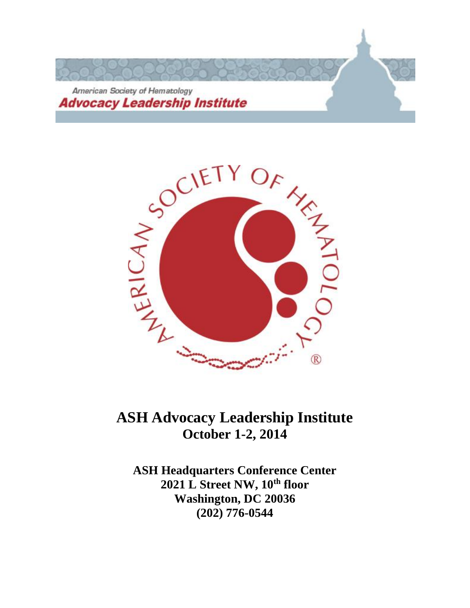



# **ASH Advocacy Leadership Institute October 1-2, 2014**

**ASH Headquarters Conference Center 2021 L Street NW, 10th floor Washington, DC 20036 (202) 776-0544**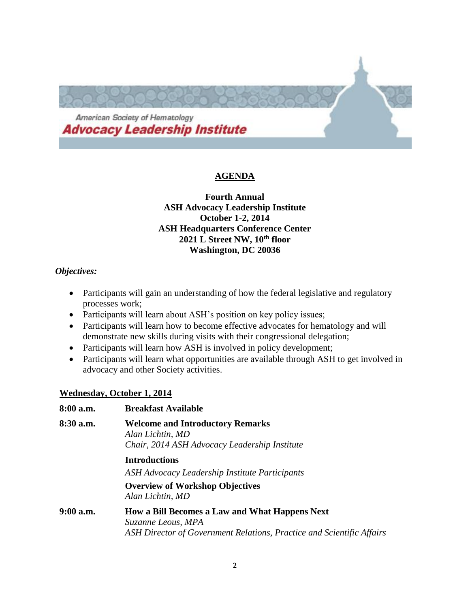

# **AGENDA**

# **Fourth Annual ASH Advocacy Leadership Institute October 1-2, 2014 ASH Headquarters Conference Center 2021 L Street NW, 10th floor Washington, DC 20036**

# *Objectives:*

- Participants will gain an understanding of how the federal legislative and regulatory processes work;
- Participants will learn about ASH's position on key policy issues;
- Participants will learn how to become effective advocates for hematology and will demonstrate new skills during visits with their congressional delegation;
- Participants will learn how ASH is involved in policy development;
- Participants will learn what opportunities are available through ASH to get involved in advocacy and other Society activities.

# **Wednesday, October 1, 2014**

| 8:00 a.m. | <b>Breakfast Available</b>                                                                                                                    |
|-----------|-----------------------------------------------------------------------------------------------------------------------------------------------|
| 8:30 a.m. | <b>Welcome and Introductory Remarks</b><br>Alan Lichtin, MD<br>Chair, 2014 ASH Advocacy Leadership Institute                                  |
|           | <b>Introductions</b><br>ASH Advocacy Leadership Institute Participants<br><b>Overview of Workshop Objectives</b><br>Alan Lichtin, MD          |
| 9:00 a.m. | How a Bill Becomes a Law and What Happens Next<br>Suzanne Leous, MPA<br>ASH Director of Government Relations, Practice and Scientific Affairs |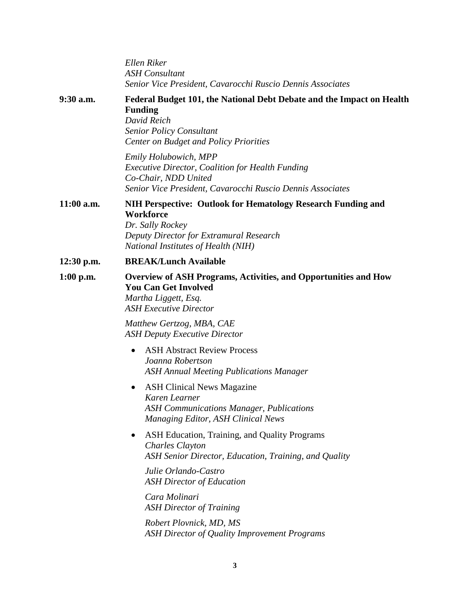*Ellen Riker ASH Consultant Senior Vice President, Cavarocchi Ruscio Dennis Associates* **9:30 a.m. Federal Budget 101, the National Debt Debate and the Impact on Health Funding** *David Reich Senior Policy Consultant Center on Budget and Policy Priorities Emily Holubowich, MPP Executive Director, Coalition for Health Funding Co-Chair, NDD United Senior Vice President, Cavarocchi Ruscio Dennis Associates* **11:00 a.m. NIH Perspective: Outlook for Hematology Research Funding and Workforce** *Dr. Sally Rockey Deputy Director for Extramural Research National Institutes of Health (NIH)* **12:30 p.m. BREAK/Lunch Available 1:00 p.m. Overview of ASH Programs, Activities, and Opportunities and How You Can Get Involved** *Martha Liggett, Esq. ASH Executive Director Matthew Gertzog, MBA, CAE ASH Deputy Executive Director* • ASH Abstract Review Process *Joanna Robertson ASH Annual Meeting Publications Manager* • ASH Clinical News Magazine *Karen Learner ASH Communications Manager, Publications Managing Editor, ASH Clinical News* ASH Education, Training, and Quality Programs *Charles Clayton ASH Senior Director, Education, Training, and Quality Julie Orlando-Castro ASH Director of Education Cara Molinari ASH Director of Training Robert Plovnick, MD, MS ASH Director of Quality Improvement Programs*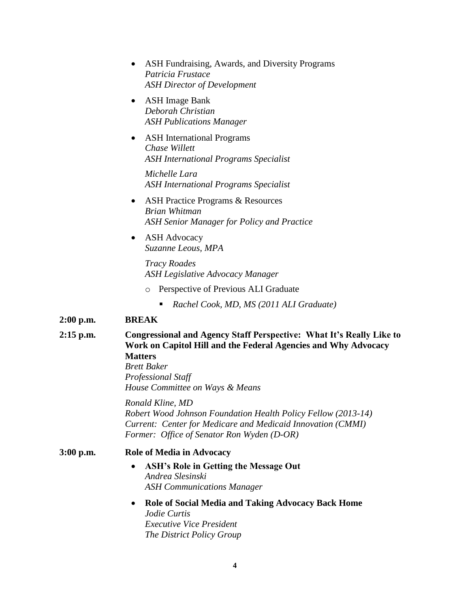|             | ASH Fundraising, Awards, and Diversity Programs<br>$\bullet$<br>Patricia Frustace<br><b>ASH Director of Development</b>                                                                                                                        |
|-------------|------------------------------------------------------------------------------------------------------------------------------------------------------------------------------------------------------------------------------------------------|
|             | <b>ASH</b> Image Bank<br>$\bullet$<br>Deborah Christian<br><b>ASH Publications Manager</b>                                                                                                                                                     |
|             | <b>ASH</b> International Programs<br>$\bullet$<br>Chase Willett<br><b>ASH</b> International Programs Specialist                                                                                                                                |
|             | Michelle Lara<br><b>ASH</b> International Programs Specialist                                                                                                                                                                                  |
|             | <b>ASH Practice Programs &amp; Resources</b><br>$\bullet$<br>Brian Whitman<br><b>ASH Senior Manager for Policy and Practice</b>                                                                                                                |
|             | <b>ASH Advocacy</b><br>$\bullet$<br>Suzanne Leous, MPA                                                                                                                                                                                         |
|             | <b>Tracy Roades</b><br><b>ASH Legislative Advocacy Manager</b>                                                                                                                                                                                 |
|             | Perspective of Previous ALI Graduate<br>$\circ$                                                                                                                                                                                                |
|             | Rachel Cook, MD, MS (2011 ALI Graduate)<br>п                                                                                                                                                                                                   |
| $2:00$ p.m. | <b>BREAK</b>                                                                                                                                                                                                                                   |
| $2:15$ p.m. | <b>Congressional and Agency Staff Perspective: What It's Really Like to</b><br>Work on Capitol Hill and the Federal Agencies and Why Advocacy<br><b>Matters</b><br><b>Brett Baker</b><br>Professional Staff<br>House Committee on Ways & Means |
|             | Ronald Kline, MD<br>Robert Wood Johnson Foundation Health Policy Fellow (2013-14)<br>Current: Center for Medicare and Medicaid Innovation (CMMI)<br>Former: Office of Senator Ron Wyden (D-OR)                                                 |
| 3:00 p.m.   | <b>Role of Media in Advocacy</b>                                                                                                                                                                                                               |
|             | <b>ASH's Role in Getting the Message Out</b><br>Andrea Slesinski<br><b>ASH Communications Manager</b>                                                                                                                                          |
|             | Role of Social Media and Taking Advocacy Back Home<br><i>Jodie Curtis</i>                                                                                                                                                                      |

*Jodie [Curtis](http://www.districtpolicygroup.com/team-detail/jodie-a-curtis) Executive Vice President The District Policy Group*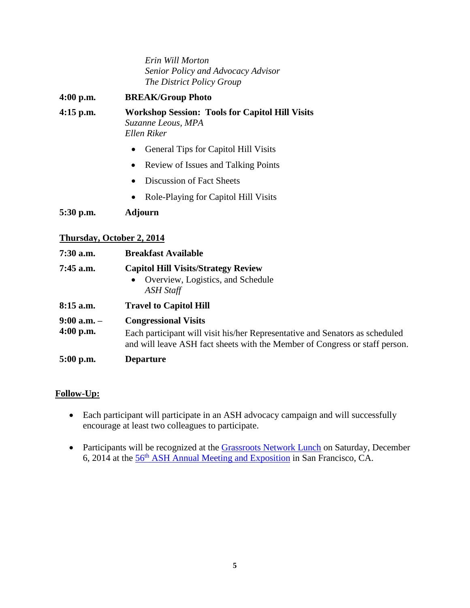*Erin Will Morton Senior Policy and Advocacy Advisor The District Policy Group*

- **4:00 p.m. BREAK/Group Photo 4:15 p.m. Workshop Session: Tools for Capitol Hill Visits** *Suzanne Leous, MPA Ellen Riker*
	- General Tips for Capitol Hill Visits
	- Review of Issues and Talking Points
	- Discussion of Fact Sheets
	- Role-Playing for Capitol Hill Visits

**5:30 p.m. Adjourn**

# **Thursday, October 2, 2014**

| $7:30$ a.m.                    | <b>Breakfast Available</b>                                                                                                                                  |
|--------------------------------|-------------------------------------------------------------------------------------------------------------------------------------------------------------|
| $7:45$ a.m.                    | <b>Capitol Hill Visits/Strategy Review</b><br>Overview, Logistics, and Schedule<br>$\bullet$<br><b>ASH Staff</b>                                            |
| $8:15$ a.m.                    | <b>Travel to Capitol Hill</b>                                                                                                                               |
| $9:00$ a.m. $-$<br>$4:00$ p.m. | <b>Congressional Visits</b>                                                                                                                                 |
|                                | Each participant will visit his/her Representative and Senators as scheduled<br>and will leave ASH fact sheets with the Member of Congress or staff person. |
| $5:00$ p.m.                    | <b>Departure</b>                                                                                                                                            |

# **Follow-Up:**

- Each participant will participate in an ASH advocacy campaign and will successfully encourage at least two colleagues to participate.
- Participants will be recognized at the [Grassroots Network Lunch](http://www.hematology.org/Annual-Meeting/Program/3002.aspx) on Saturday, December 6, 2014 at the 56th [ASH Annual Meeting and Exposition](http://www.hematology.org/Annual-Meeting/) in San Francisco, CA.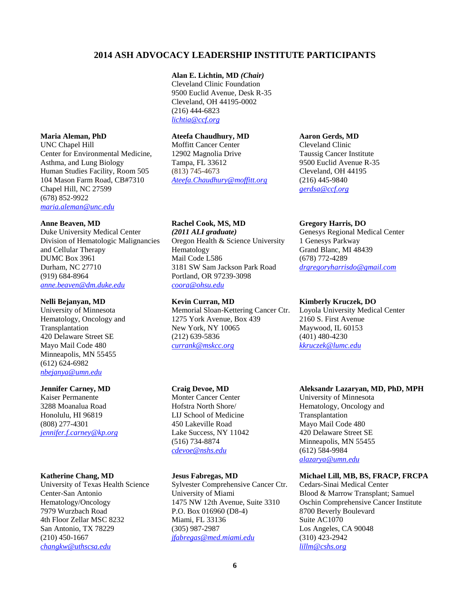# **2014 ASH ADVOCACY LEADERSHIP INSTITUTE PARTICIPANTS**

### **Alan E. Lichtin, MD** *(Chair)*

Cleveland Clinic Foundation 9500 Euclid Avenue, Desk R-35 Cleveland, OH 44195-0002 (216) 444-6823 *[lichtia@ccf.org](mailto:lichtia@ccf.org)*

# **Maria Aleman, PhD**

UNC Chapel Hill Center for Environmental Medicine, Asthma, and Lung Biology Human Studies Facility, Room 505 104 Mason Farm Road, CB#7310 Chapel Hill, NC 27599 (678) 852-9922 *[maria.aleman@unc.edu](mailto:maria.aleman@unc.edu)*

### **Anne Beaven, MD**

Duke University Medical Center Division of Hematologic Malignancies and Cellular Therapy DUMC Box 3961 Durham, NC 27710 (919) 684-8964 *[anne.beaven@dm.duke.edu](mailto:anne.beaven@dm.duke.edu)*

#### **Nelli Bejanyan, MD**

University of Minnesota Hematology, Oncology and Transplantation 420 Delaware Street SE Mayo Mail Code 480 Minneapolis, MN 55455 (612) 624-6982 *[nbejanya@umn.edu](mailto:nbejanya@umn.edu)*

#### **Jennifer Carney, MD**

Kaiser Permanente 3288 Moanalua Road Honolulu, HI 96819 (808) 277-4301 *[jennifer.f.carney@kp.org](mailto:jennifer.f.carney@kp.org)*

#### **Katherine Chang, MD**

University of Texas Health Science Center-San Antonio Hematology/Oncology 7979 Wurzbach Road 4th Floor Zellar MSC 8232 San Antonio, TX 78229 (210) 450-1667 *[changkw@uthscsa.edu](mailto:changkw@uthscsa.edu)*

# **Ateefa Chaudhury, MD**

Moffitt Cancer Center 12902 Magnolia Drive Tampa, FL 33612 (813) 745-4673 *[Ateefa.Chaudhury@moffitt.org](mailto:Ateefa.Chaudhury@moffitt.org)*

#### **Rachel Cook, MS, MD**

*(2011 ALI graduate)* Oregon Health & Science University Hematology Mail Code L586 3181 SW Sam Jackson Park Road Portland, OR 97239-3098 *[coora@ohsu.edu](mailto:coora@ohsu.edu)*

### **Kevin Curran, MD**

Memorial Sloan-Kettering Cancer Ctr. 1275 York Avenue, Box 439 New York, NY 10065 (212) 639-5836 *[currank@mskcc.org](mailto:currank@mskcc.org)*

#### **Craig Devoe, MD**

Monter Cancer Center Hofstra North Shore/ LIJ School of Medicine 450 Lakeville Road Lake Success, NY 11042 (516) 734-8874 *[cdevoe@nshs.edu](mailto:cdevoe@nshs.edu)*

#### **Jesus Fabregas, MD**

Sylvester Comprehensive Cancer Ctr. University of Miami 1475 NW 12th Avenue, Suite 3310 P.O. Box 016960 (D8-4) Miami, FL 33136 (305) 987-2987 *[jfabregas@med.miami.edu](mailto:jfabregas@med.miami.edu)*

### **Aaron Gerds, MD**

Cleveland Clinic Taussig Cancer Institute 9500 Euclid Avenue R-35 Cleveland, OH 44195 (216) 445-9840 *[gerdsa@ccf.org](mailto:gerdsa@ccf.org)*

### **Gregory Harris, DO**

Genesys Regional Medical Center 1 Genesys Parkway Grand Blanc, MI 48439 (678) 772-4289 *[drgregoryharrisdo@gmail.com](mailto:drgregoryharrisdo@gmail.com)*

### **Kimberly Kruczek, DO**

Loyola University Medical Center 2160 S. First Avenue Maywood, IL 60153 (401) 480-4230 *[kkruczek@lumc.edu](mailto:kkruczek@lumc.edu)*

#### **Aleksandr Lazaryan, MD, PhD, MPH**

University of Minnesota Hematology, Oncology and Transplantation Mayo Mail Code 480 420 Delaware Street SE Minneapolis, MN 55455 (612) 584-9984 *[alazarya@umn.edu](mailto:alazarya@umn.edu)*

#### **Michael Lill, MB, BS, FRACP, FRCPA**

Cedars-Sinai Medical Center Blood & Marrow Transplant; Samuel Oschin Comprehensive Cancer Institute 8700 Beverly Boulevard Suite AC1070 Los Angeles, CA 90048 (310) 423-2942 *[lillm@cshs.org](mailto:lillm@cshs.org)*